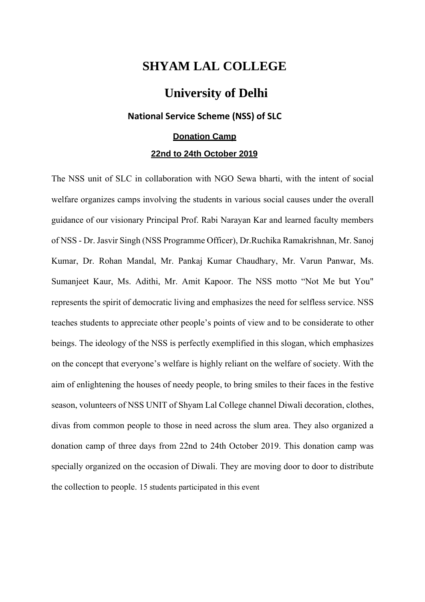## **SHYAM LAL COLLEGE**

# **University of Delhi**

## **National Service Scheme (NSS) of SLC**

### **Donation Camp**

### **22nd to 24th October 2019**

The NSS unit of SLC in collaboration with NGO Sewa bharti, with the intent of social welfare organizes camps involving the students in various social causes under the overall guidance of our visionary Principal Prof. Rabi Narayan Kar and learned faculty members of NSS - Dr. Jasvir Singh (NSS Programme Officer), Dr.Ruchika Ramakrishnan, Mr. Sanoj Kumar, Dr. Rohan Mandal, Mr. Pankaj Kumar Chaudhary, Mr. Varun Panwar, Ms. Sumanjeet Kaur, Ms. Adithi, Mr. Amit Kapoor. The NSS motto "Not Me but You" represents the spirit of democratic living and emphasizes the need for selfless service. NSS teaches students to appreciate other people's points of view and to be considerate to other beings. The ideology of the NSS is perfectly exemplified in this slogan, which emphasizes on the concept that everyone's welfare is highly reliant on the welfare of society. With the aim of enlightening the houses of needy people, to bring smiles to their faces in the festive season, volunteers of NSS UNIT of Shyam Lal College channel Diwali decoration, clothes, divas from common people to those in need across the slum area. They also organized a donation camp of three days from 22nd to 24th October 2019. This donation camp was specially organized on the occasion of Diwali. They are moving door to door to distribute the collection to people. 15 students participated in this event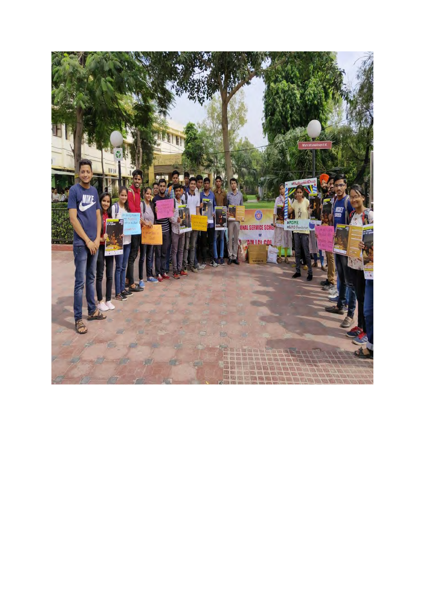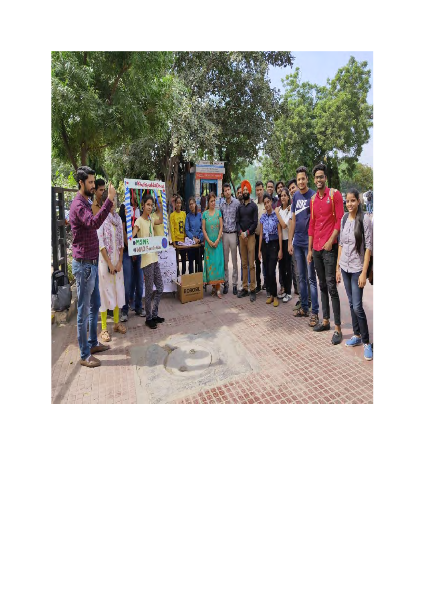